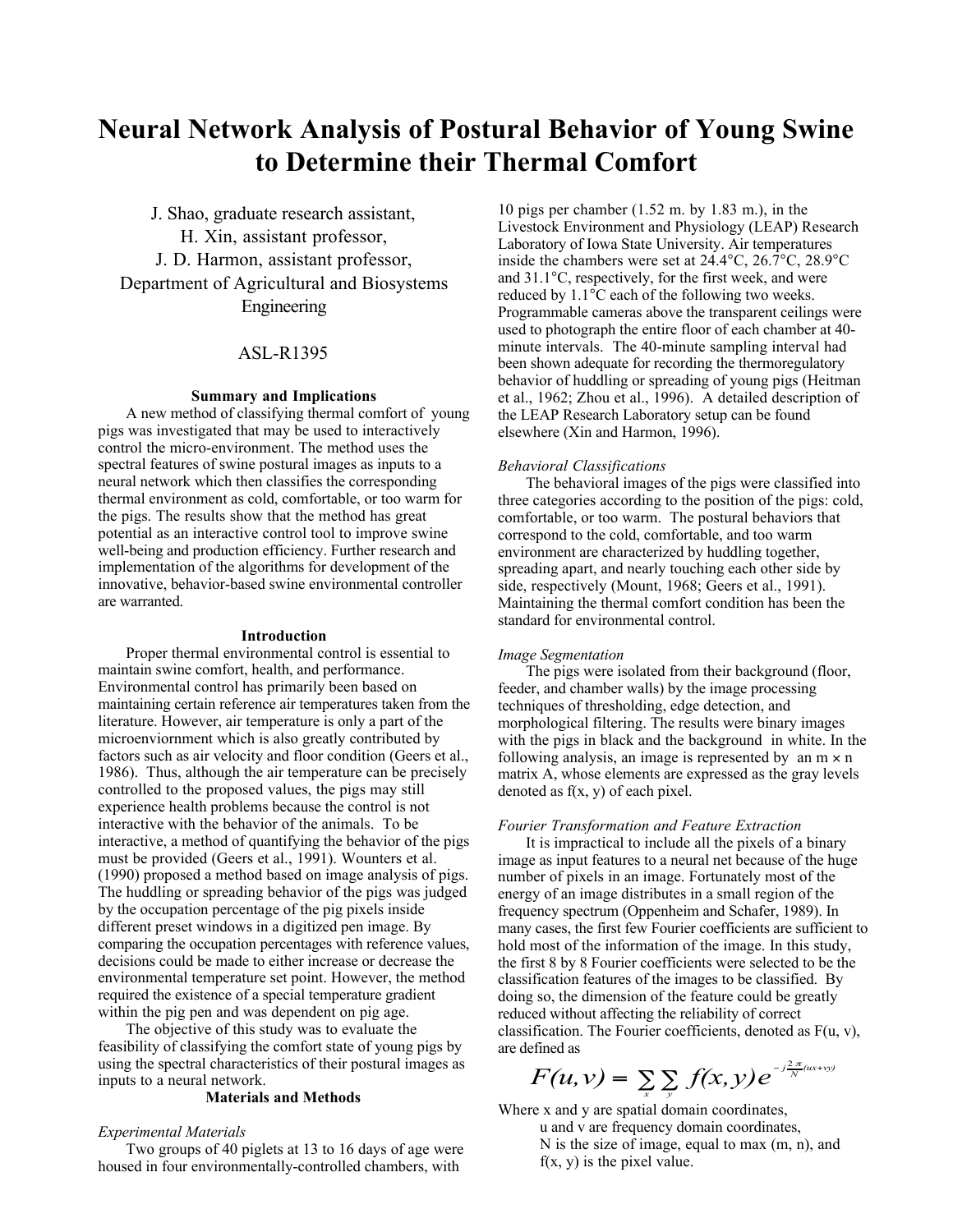# **Neural Network Analysis of Postural Behavior of Young Swine to Determine their Thermal Comfort**

J. Shao, graduate research assistant, H. Xin, assistant professor, J. D. Harmon, assistant professor, Department of Agricultural and Biosystems Engineering

# ASL-R1395

#### **Summary and Implications**

A new method of classifying thermal comfort of young pigs was investigated that may be used to interactively control the micro-environment. The method uses the spectral features of swine postural images as inputs to a neural network which then classifies the corresponding thermal environment as cold, comfortable, or too warm for the pigs. The results show that the method has great potential as an interactive control tool to improve swine well-being and production efficiency. Further research and implementation of the algorithms for development of the innovative, behavior-based swine environmental controller are warranted.

#### **Introduction**

Proper thermal environmental control is essential to maintain swine comfort, health, and performance. Environmental control has primarily been based on maintaining certain reference air temperatures taken from the literature. However, air temperature is only a part of the microenviornment which is also greatly contributed by factors such as air velocity and floor condition (Geers et al., 1986). Thus, although the air temperature can be precisely controlled to the proposed values, the pigs may still experience health problems because the control is not interactive with the behavior of the animals. To be interactive, a method of quantifying the behavior of the pigs must be provided (Geers et al., 1991). Wounters et al. (1990) proposed a method based on image analysis of pigs. The huddling or spreading behavior of the pigs was judged by the occupation percentage of the pig pixels inside different preset windows in a digitized pen image. By comparing the occupation percentages with reference values, decisions could be made to either increase or decrease the environmental temperature set point. However, the method required the existence of a special temperature gradient within the pig pen and was dependent on pig age.

The objective of this study was to evaluate the feasibility of classifying the comfort state of young pigs by using the spectral characteristics of their postural images as inputs to a neural network.

## **Materials and Methods**

#### *Experimental Materials*

Two groups of 40 piglets at 13 to 16 days of age were housed in four environmentally-controlled chambers, with

10 pigs per chamber (1.52 m. by 1.83 m.), in the Livestock Environment and Physiology (LEAP) Research Laboratory of Iowa State University. Air temperatures inside the chambers were set at 24.4°C, 26.7°C, 28.9°C and 31.1°C, respectively, for the first week, and were reduced by 1.1°C each of the following two weeks. Programmable cameras above the transparent ceilings were used to photograph the entire floor of each chamber at 40 minute intervals. The 40-minute sampling interval had been shown adequate for recording the thermoregulatory behavior of huddling or spreading of young pigs (Heitman et al., 1962; Zhou et al., 1996). A detailed description of the LEAP Research Laboratory setup can be found elsewhere (Xin and Harmon, 1996).

#### *Behavioral Classifications*

The behavioral images of the pigs were classified into three categories according to the position of the pigs: cold, comfortable, or too warm. The postural behaviors that correspond to the cold, comfortable, and too warm environment are characterized by huddling together, spreading apart, and nearly touching each other side by side, respectively (Mount, 1968; Geers et al., 1991). Maintaining the thermal comfort condition has been the standard for environmental control.

#### *Image Segmentation*

The pigs were isolated from their background (floor, feeder, and chamber walls) by the image processing techniques of thresholding, edge detection, and morphological filtering. The results were binary images with the pigs in black and the background in white. In the following analysis, an image is represented by an  $m \times n$ matrix A, whose elements are expressed as the gray levels denoted as  $f(x, y)$  of each pixel.

#### *Fourier Transformation and Feature Extraction*

It is impractical to include all the pixels of a binary image as input features to a neural net because of the huge number of pixels in an image. Fortunately most of the energy of an image distributes in a small region of the frequency spectrum (Oppenheim and Schafer, 1989). In many cases, the first few Fourier coefficients are sufficient to hold most of the information of the image. In this study, the first 8 by 8 Fourier coefficients were selected to be the classification features of the images to be classified. By doing so, the dimension of the feature could be greatly reduced without affecting the reliability of correct classification. The Fourier coefficients, denoted as  $F(u, v)$ , are defined as

$$
F(u,v)=\sum_{x}\sum_{y}f(x,y)e^{-j\frac{2\pi}{N}(ux+vy)}
$$

Where x and y are spatial domain coordinates, u and v are frequency domain coordinates, N is the size of image, equal to max (m, n), and  $f(x, y)$  is the pixel value.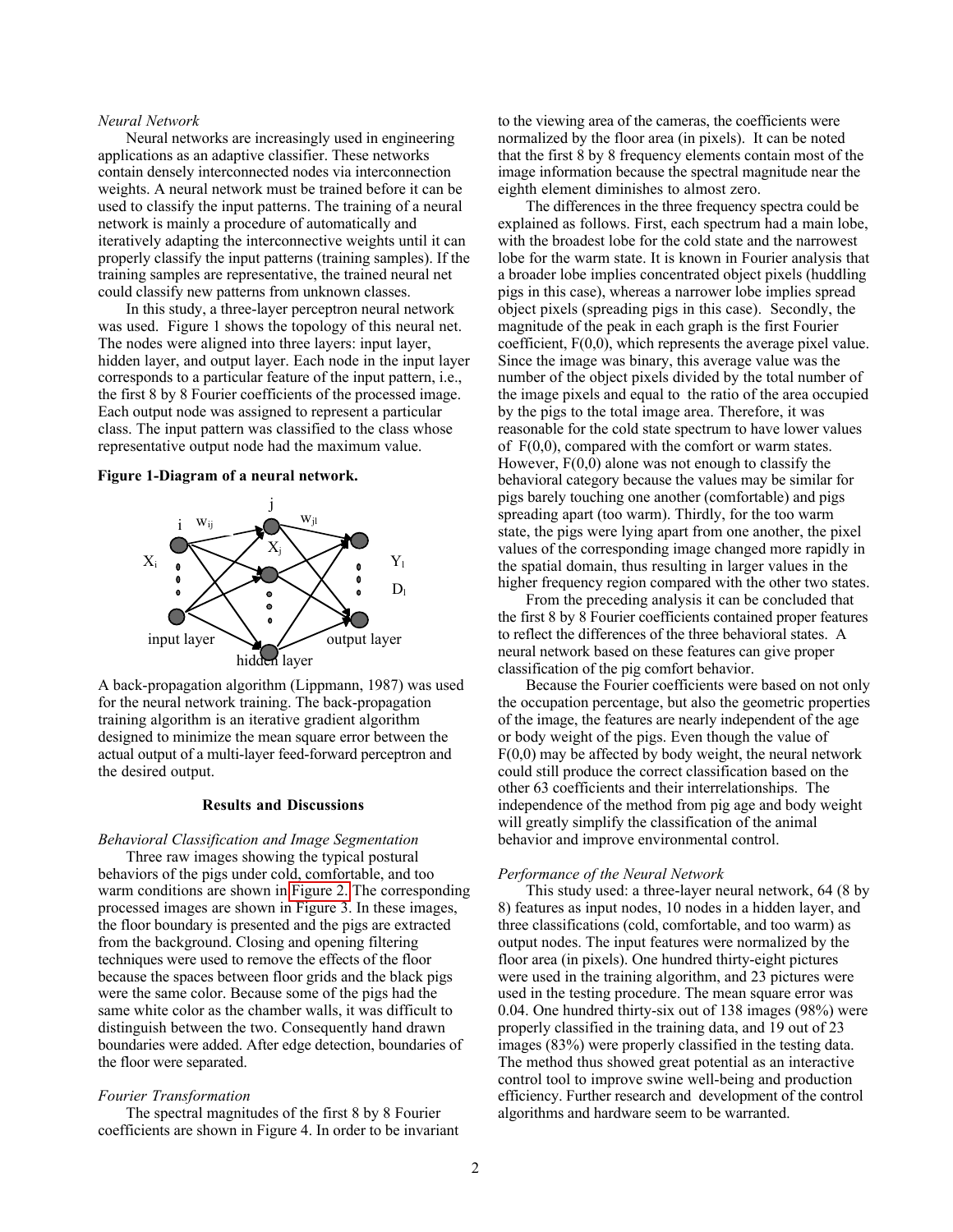## *Neural Network*

Neural networks are increasingly used in engineering applications as an adaptive classifier. These networks contain densely interconnected nodes via interconnection weights. A neural network must be trained before it can be used to classify the input patterns. The training of a neural network is mainly a procedure of automatically and iteratively adapting the interconnective weights until it can properly classify the input patterns (training samples). If the training samples are representative, the trained neural net could classify new patterns from unknown classes.

In this study, a three-layer perceptron neural network was used. Figure 1 shows the topology of this neural net. The nodes were aligned into three layers: input layer, hidden layer, and output layer. Each node in the input layer corresponds to a particular feature of the input pattern, i.e., the first 8 by 8 Fourier coefficients of the processed image. Each output node was assigned to represent a particular class. The input pattern was classified to the class whose representative output node had the maximum value.

#### **Figure 1-Diagram of a neural network.**



A back-propagation algorithm (Lippmann, 1987) was used for the neural network training. The back-propagation training algorithm is an iterative gradient algorithm designed to minimize the mean square error between the actual output of a multi-layer feed-forward perceptron and the desired output.

## **Results and Discussions**

#### *Behavioral Classification and Image Segmentation*

Three raw images showing the typical postural behaviors of the pigs under cold, comfortable, and too warm conditions are shown in [Figure 2.](#page-3-0) The corresponding processed images are shown in Figure 3. In these images, the floor boundary is presented and the pigs are extracted from the background. Closing and opening filtering techniques were used to remove the effects of the floor because the spaces between floor grids and the black pigs were the same color. Because some of the pigs had the same white color as the chamber walls, it was difficult to distinguish between the two. Consequently hand drawn boundaries were added. After edge detection, boundaries of the floor were separated.

## *Fourier Transformation*

The spectral magnitudes of the first 8 by 8 Fourier coefficients are shown in Figure 4. In order to be invariant

to the viewing area of the cameras, the coefficients were normalized by the floor area (in pixels). It can be noted that the first 8 by 8 frequency elements contain most of the image information because the spectral magnitude near the eighth element diminishes to almost zero.

The differences in the three frequency spectra could be explained as follows. First, each spectrum had a main lobe, with the broadest lobe for the cold state and the narrowest lobe for the warm state. It is known in Fourier analysis that a broader lobe implies concentrated object pixels (huddling pigs in this case), whereas a narrower lobe implies spread object pixels (spreading pigs in this case). Secondly, the magnitude of the peak in each graph is the first Fourier coefficient, F(0,0), which represents the average pixel value. Since the image was binary, this average value was the number of the object pixels divided by the total number of the image pixels and equal to the ratio of the area occupied by the pigs to the total image area. Therefore, it was reasonable for the cold state spectrum to have lower values of  $F(0,0)$ , compared with the comfort or warm states. However,  $F(0,0)$  alone was not enough to classify the behavioral category because the values may be similar for pigs barely touching one another (comfortable) and pigs spreading apart (too warm). Thirdly, for the too warm state, the pigs were lying apart from one another, the pixel values of the corresponding image changed more rapidly in the spatial domain, thus resulting in larger values in the higher frequency region compared with the other two states.

From the preceding analysis it can be concluded that the first 8 by 8 Fourier coefficients contained proper features to reflect the differences of the three behavioral states. A neural network based on these features can give proper classification of the pig comfort behavior.

Because the Fourier coefficients were based on not only the occupation percentage, but also the geometric properties of the image, the features are nearly independent of the age or body weight of the pigs. Even though the value of  $F(0,0)$  may be affected by body weight, the neural network could still produce the correct classification based on the other 63 coefficients and their interrelationships. The independence of the method from pig age and body weight will greatly simplify the classification of the animal behavior and improve environmental control.

### *Performance of the Neural Network*

This study used: a three-layer neural network, 64 (8 by 8) features as input nodes, 10 nodes in a hidden layer, and three classifications (cold, comfortable, and too warm) as output nodes. The input features were normalized by the floor area (in pixels). One hundred thirty-eight pictures were used in the training algorithm, and 23 pictures were used in the testing procedure. The mean square error was 0.04. One hundred thirty-six out of 138 images (98%) were properly classified in the training data, and 19 out of 23 images (83%) were properly classified in the testing data. The method thus showed great potential as an interactive control tool to improve swine well-being and production efficiency. Further research and development of the control algorithms and hardware seem to be warranted.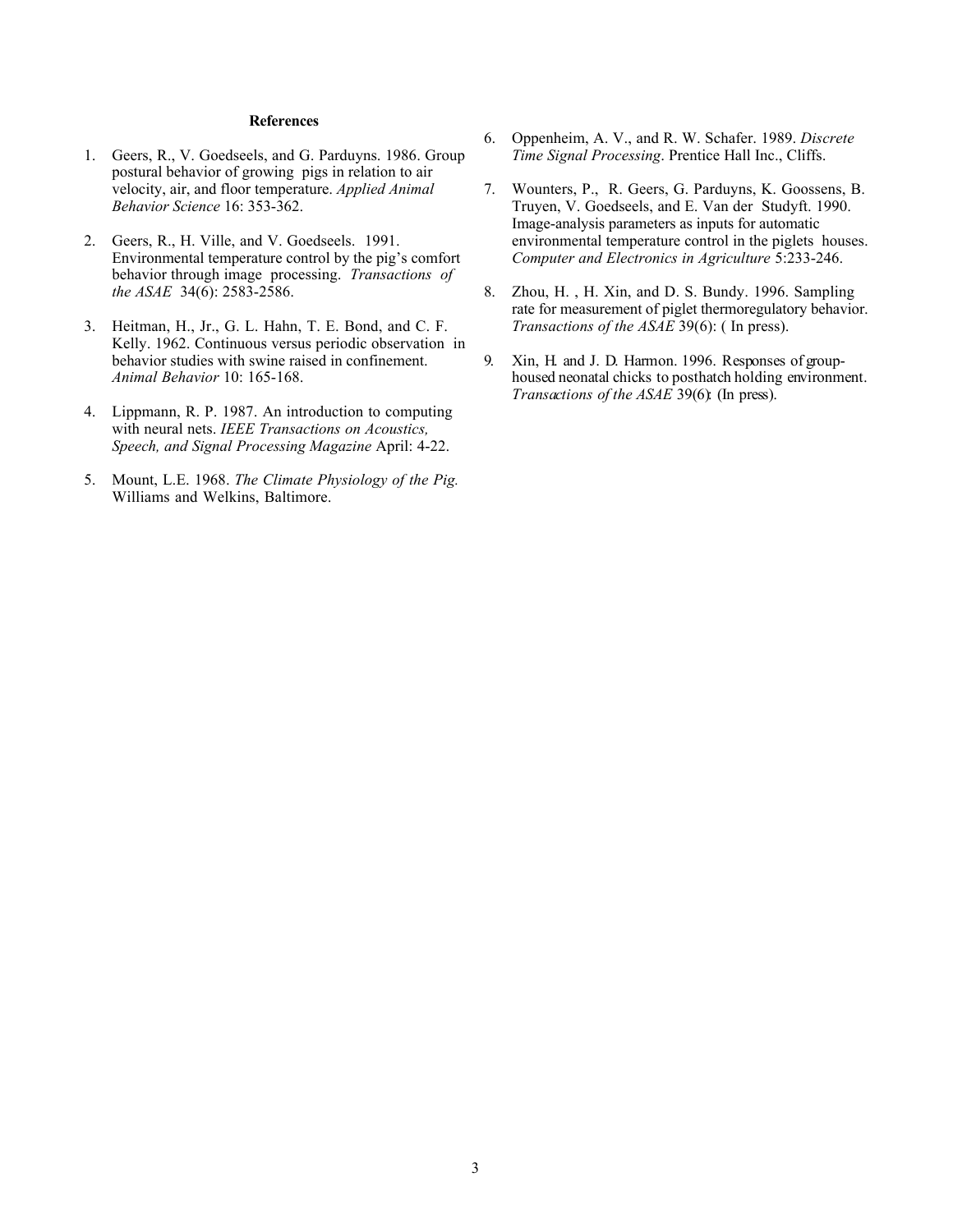## **References**

- 1. Geers, R., V. Goedseels, and G. Parduyns. 1986. Group postural behavior of growing pigs in relation to air velocity, air, and floor temperature. *Applied Animal Behavior Science* 16: 353-362.
- 2. Geers, R., H. Ville, and V. Goedseels. 1991. Environmental temperature control by the pig's comfort behavior through image processing. *Transactions of the ASAE* 34(6): 2583-2586.
- 3. Heitman, H., Jr., G. L. Hahn, T. E. Bond, and C. F. Kelly. 1962. Continuous versus periodic observation in behavior studies with swine raised in confinement. *Animal Behavior* 10: 165-168.
- 4. Lippmann, R. P. 1987. An introduction to computing with neural nets. *IEEE Transactions on Acoustics, Speech, and Signal Processing Magazine* April: 4-22.
- 5. Mount, L.E. 1968. *The Climate Physiology of the Pig.* Williams and Welkins, Baltimore.
- 6. Oppenheim, A. V., and R. W. Schafer. 1989. *Discrete Time Signal Processing*. Prentice Hall Inc., Cliffs.
- 7. Wounters, P., R. Geers, G. Parduyns, K. Goossens, B. Truyen, V. Goedseels, and E. Van der Studyft. 1990. Image-analysis parameters as inputs for automatic environmental temperature control in the piglets houses. *Computer and Electronics in Agriculture* 5:233-246.
- 8. Zhou, H. , H. Xin, and D. S. Bundy. 1996. Sampling rate for measurement of piglet thermoregulatory behavior. *Transactions of the ASAE* 39(6): ( In press).
- 9. Xin, H. and J. D. Harmon. 1996. Responses of grouphoused neonatal chicks to posthatch holding environment. *Transactions of the ASAE* 39(6): (In press).